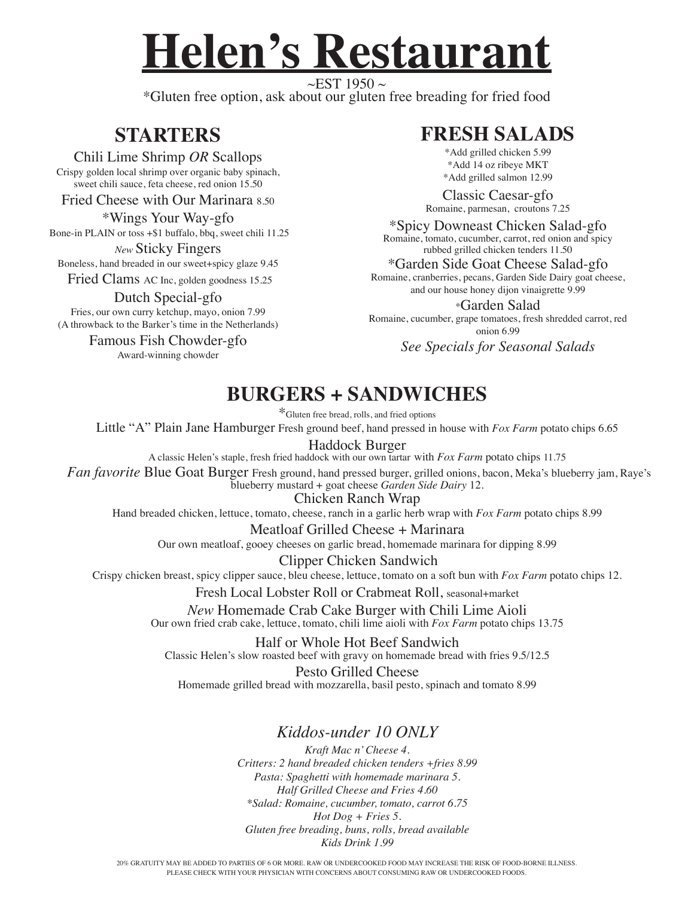# **Helen's Restaurant**

 $\sim$ EST 1950  $\sim$ \*Gluten free option, ask about our gluten free breading for fried food

## **STARTERS**

### Chili Lime Shrimp *OR* Scallops

Crispy golden local shrimp over organic baby spinach, sweet chili sauce, feta cheese, red onion 15.50

Fried Cheese with Our Marinara 8.50

\*Wings Your Way-gfo Bone-in PLAIN or toss +\$1 buffalo, bbq, sweet chili 11.25

*New* Sticky Fingers Boneless, hand breaded in our sweet+spicy glaze 9.45

Fried Clams AC Inc, golden goodness 15.25

### Dutch Special-gfo

Fries, our own curry ketchup, mayo, onion 7.99 (A throwback to the Barker's time in the Netherlands)

> Famous Fish Chowder-gfo Award-winning chowder

## **FRESH SALADS**

\*Add grilled chicken 5.99 \*Add 14 oz ribeye MKT \*Add grilled salmon 12.99

Classic Caesar-gfo Romaine, parmesan, croutons 7.25

\*Spicy Downeast Chicken Salad-gfo Romaine, tomato, cucumber, carrot, red onion and spicy rubbed grilled chicken tenders 11.50

\*Garden Side Goat Cheese Salad-gfo Romaine, cranberries, pecans, Garden Side Dairy goat cheese, and our house honey dijon vinaigrette 9.99

\*Garden Salad Romaine, cucumber, grape tomatoes, fresh shredded carrot, red onion 6.99

*See Specials for Seasonal Salads*

## **BURGERS + SANDWICHES**

\*Gluten free bread, rolls, and fried options

Little "A" Plain Jane Hamburger Fresh ground beef, hand pressed in house with *Fox Farm* potato chips 6.65

Haddock Burger A classic Helen's staple, fresh fried haddock with our own tartar with *Fox Farm* potato chips 11.75 *Fan favorite* Blue Goat Burger Fresh ground, hand pressed burger, grilled onions, bacon, Meka's blueberry jam, Raye's

blueberry mustard + goat cheese *Garden Side Dairy* 12. Chicken Ranch Wrap

Hand breaded chicken, lettuce, tomato, cheese, ranch in a garlic herb wrap with *Fox Farm* potato chips 8.99

Meatloaf Grilled Cheese + Marinara Our own meatloaf, gooey cheeses on garlic bread, homemade marinara for dipping 8.99

Clipper Chicken Sandwich Crispy chicken breast, spicy clipper sauce, bleu cheese, lettuce, tomato on a soft bun with *Fox Farm* potato chips 12.

Fresh Local Lobster Roll or Crabmeat Roll, seasonal+market

*New* Homemade Crab Cake Burger with Chili Lime Aioli Our own fried crab cake, lettuce, tomato, chili lime aioli with *Fox Farm* potato chips 13.75

Half or Whole Hot Beef Sandwich Classic Helen's slow roasted beef with gravy on homemade bread with fries 9.5/12.5

Pesto Grilled Cheese Homemade grilled bread with mozzarella, basil pesto, spinach and tomato 8.99

## *Kiddos-under 10 ONLY*

*Kraft Mac n' Cheese 4. Critters: 2 hand breaded chicken tenders +fries 8.99 Pasta: Spaghetti with homemade marinara 5. Half Grilled Cheese and Fries 4.60 \*Salad: Romaine, cucumber, tomato, carrot 6.75 Hot Dog + Fries 5. Gluten free breading, buns, rolls, bread available Kids Drink 1.99*

20% GRATUITY MAY BE ADDED TO PARTIES OF 6 OR MORE. RAW OR UNDERCOOKED FOOD MAY INCREASE THE RISK OF FOOD-BORNE ILLNESS. PLEASE CHECK WITH YOUR PHYSICIAN WITH CONCERNS ABOUT CONSUMING RAW OR UNDERCOOKED FOODS.